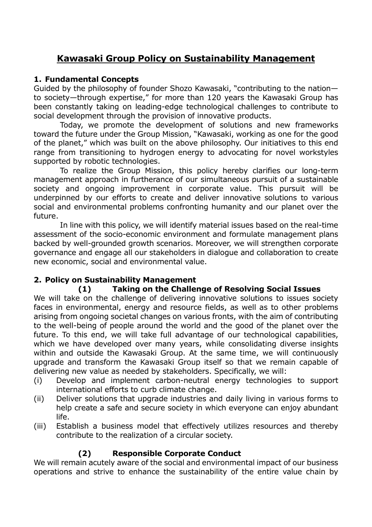# **Kawasaki Group Policy on Sustainability Management**

#### **1. Fundamental Concepts**

Guided by the philosophy of founder Shozo Kawasaki, "contributing to the nation to society—through expertise," for more than 120 years the Kawasaki Group has been constantly taking on leading-edge technological challenges to contribute to social development through the provision of innovative products.

Today, we promote the development of solutions and new frameworks toward the future under the Group Mission, "Kawasaki, working as one for the good of the planet," which was built on the above philosophy. Our initiatives to this end range from transitioning to hydrogen energy to advocating for novel workstyles supported by robotic technologies.

To realize the Group Mission, this policy hereby clarifies our long-term management approach in furtherance of our simultaneous pursuit of a sustainable society and ongoing improvement in corporate value. This pursuit will be underpinned by our efforts to create and deliver innovative solutions to various social and environmental problems confronting humanity and our planet over the future.

In line with this policy, we will identify material issues based on the real-time assessment of the socio-economic environment and formulate management plans backed by well-grounded growth scenarios. Moreover, we will strengthen corporate governance and engage all our stakeholders in dialogue and collaboration to create new economic, social and environmental value.

### **2. Policy on Sustainability Management**

### **(1) Taking on the Challenge of Resolving Social Issues**

We will take on the challenge of delivering innovative solutions to issues society faces in environmental, energy and resource fields, as well as to other problems arising from ongoing societal changes on various fronts, with the aim of contributing to the well-being of people around the world and the good of the planet over the future. To this end, we will take full advantage of our technological capabilities, which we have developed over many years, while consolidating diverse insights within and outside the Kawasaki Group. At the same time, we will continuously upgrade and transform the Kawasaki Group itself so that we remain capable of delivering new value as needed by stakeholders. Specifically, we will:

- (i) Develop and implement carbon-neutral energy technologies to support international efforts to curb climate change.
- (ii) Deliver solutions that upgrade industries and daily living in various forms to help create a safe and secure society in which everyone can enjoy abundant life.
- (iii) Establish a business model that effectively utilizes resources and thereby contribute to the realization of a circular society.

### **(2) Responsible Corporate Conduct**

We will remain acutely aware of the social and environmental impact of our business operations and strive to enhance the sustainability of the entire value chain by